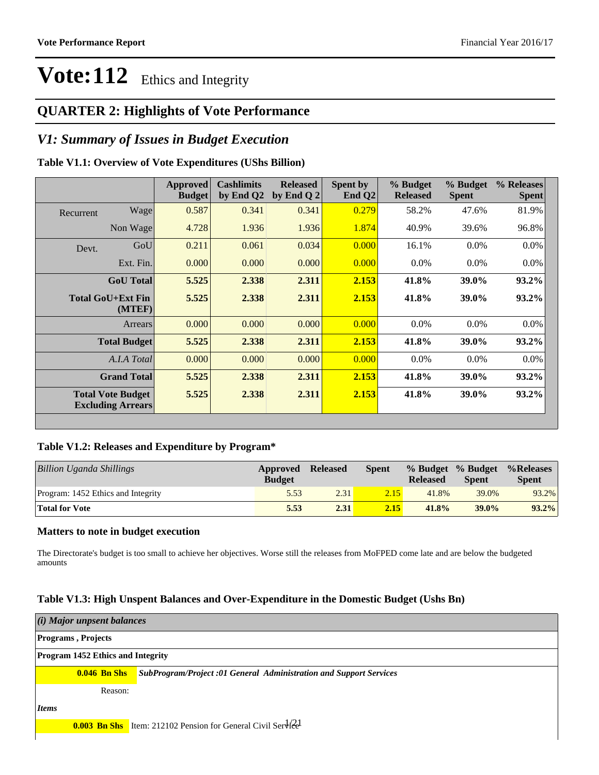## **QUARTER 2: Highlights of Vote Performance**

## *V1: Summary of Issues in Budget Execution*

### **Table V1.1: Overview of Vote Expenditures (UShs Billion)**

|           |                                                      | Approved<br><b>Budget</b> | <b>Cashlimits</b><br>by End Q2 | <b>Released</b><br>by End Q $2$ | Spent by<br>End $Q2$ | % Budget<br><b>Released</b> | % Budget<br><b>Spent</b> | % Releases<br><b>Spent</b> |
|-----------|------------------------------------------------------|---------------------------|--------------------------------|---------------------------------|----------------------|-----------------------------|--------------------------|----------------------------|
| Recurrent | Wage                                                 | 0.587                     | 0.341                          | 0.341                           | 0.279                | 58.2%                       | 47.6%                    | 81.9%                      |
|           | Non Wage                                             | 4.728                     | 1.936                          | 1.936                           | 1.874                | 40.9%                       | 39.6%                    | 96.8%                      |
| Devt.     | GoU                                                  | 0.211                     | 0.061                          | 0.034                           | 0.000                | 16.1%                       | $0.0\%$                  | $0.0\%$                    |
|           | Ext. Fin.                                            | 0.000                     | 0.000                          | 0.000                           | 0.000                | $0.0\%$                     | $0.0\%$                  | $0.0\%$                    |
|           | <b>GoU</b> Total                                     | 5.525                     | 2.338                          | 2.311                           | 2.153                | 41.8%                       | 39.0%                    | 93.2%                      |
|           | Total GoU+Ext Fin<br>(MTEF)                          | 5.525                     | 2.338                          | 2.311                           | 2.153                | 41.8%                       | 39.0%                    | $93.2\%$                   |
|           | Arrears                                              | 0.000                     | 0.000                          | 0.000                           | 0.000                | $0.0\%$                     | $0.0\%$                  | $0.0\%$                    |
|           | <b>Total Budget</b>                                  | 5.525                     | 2.338                          | 2.311                           | 2.153                | 41.8%                       | 39.0%                    | 93.2%                      |
|           | A.I.A Total                                          | 0.000                     | 0.000                          | 0.000                           | 0.000                | $0.0\%$                     | $0.0\%$                  | $0.0\%$                    |
|           | <b>Grand Total</b>                                   | 5.525                     | 2.338                          | 2.311                           | 2.153                | 41.8%                       | 39.0%                    | 93.2%                      |
|           | <b>Total Vote Budget</b><br><b>Excluding Arrears</b> | 5.525                     | 2.338                          | 2.311                           | 2.153                | 41.8%                       | 39.0%                    | 93.2%                      |

### **Table V1.2: Releases and Expenditure by Program\***

| <b>Billion Uganda Shillings</b>    | Approved<br><b>Budget</b> | <b>Released</b> | <b>Spent</b> | % Budget % Budget<br><b>Released</b> | <b>Spent</b> | %Releases<br><b>Spent</b> |
|------------------------------------|---------------------------|-----------------|--------------|--------------------------------------|--------------|---------------------------|
| Program: 1452 Ethics and Integrity | 5.53                      | 2.31            | 2.15         | 41.8%                                | 39.0%        | 93.2%                     |
| <b>Total for Vote</b>              | 5.53                      | 2.31            | 2.15         | 41.8%                                | $39.0\%$     | 93.2%                     |

### **Matters to note in budget execution**

The Directorate's budget is too small to achieve her objectives. Worse still the releases from MoFPED come late and are below the budgeted amounts

### **Table V1.3: High Unspent Balances and Over-Expenditure in the Domestic Budget (Ushs Bn)**

| (i) Major unpsent balances               |         |                                                                                        |  |  |  |
|------------------------------------------|---------|----------------------------------------------------------------------------------------|--|--|--|
| <b>Programs</b> , Projects               |         |                                                                                        |  |  |  |
| <b>Program 1452 Ethics and Integrity</b> |         |                                                                                        |  |  |  |
|                                          |         | <b>0.046 Bn Shs</b> SubProgram/Project :01 General Administration and Support Services |  |  |  |
|                                          | Reason: |                                                                                        |  |  |  |
| Items                                    |         |                                                                                        |  |  |  |
|                                          |         | <b>0.003 Bn Shs</b> Item: 212102 Pension for General Civil Service                     |  |  |  |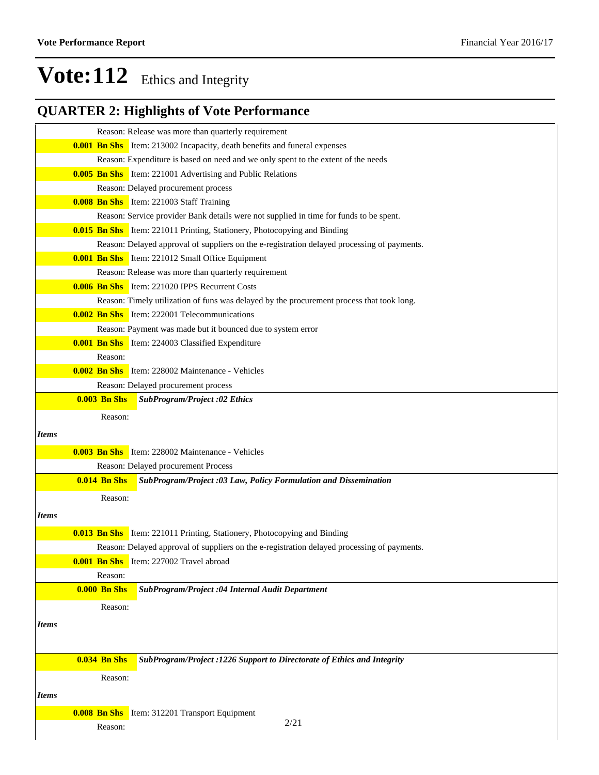## **QUARTER 2: Highlights of Vote Performance**

|              |                     | Reason: Release was more than quarterly requirement                                         |
|--------------|---------------------|---------------------------------------------------------------------------------------------|
|              |                     | <b>0.001 Bn Shs</b> Item: 213002 Incapacity, death benefits and funeral expenses            |
|              |                     | Reason: Expenditure is based on need and we only spent to the extent of the needs           |
|              |                     | <b>0.005 Bn Shs</b> Item: 221001 Advertising and Public Relations                           |
|              |                     | Reason: Delayed procurement process                                                         |
|              |                     | <b>0.008 Bn Shs</b> Item: 221003 Staff Training                                             |
|              |                     | Reason: Service provider Bank details were not supplied in time for funds to be spent.      |
|              |                     | <b>0.015 Bn Shs</b> Item: 221011 Printing, Stationery, Photocopying and Binding             |
|              |                     | Reason: Delayed approval of suppliers on the e-registration delayed processing of payments. |
|              |                     | <b>0.001 Bn Shs</b> Item: 221012 Small Office Equipment                                     |
|              |                     | Reason: Release was more than quarterly requirement                                         |
|              |                     | <b>0.006 Bn Shs</b> Item: 221020 IPPS Recurrent Costs                                       |
|              |                     | Reason: Timely utilization of funs was delayed by the procurement process that took long.   |
|              |                     | <b>0.002 Bn Shs</b> Item: 222001 Telecommunications                                         |
|              |                     | Reason: Payment was made but it bounced due to system error                                 |
|              |                     | <b>0.001 Bn Shs</b> Item: 224003 Classified Expenditure                                     |
|              | Reason:             |                                                                                             |
|              |                     | <b>0.002 Bn Shs</b> Item: 228002 Maintenance - Vehicles                                     |
|              |                     | Reason: Delayed procurement process                                                         |
|              | $0.003$ Bn Shs      | <b>SubProgram/Project :02 Ethics</b>                                                        |
|              | Reason:             |                                                                                             |
| <b>Items</b> |                     |                                                                                             |
|              |                     |                                                                                             |
|              |                     | <b>0.003 Bn Shs</b> Item: 228002 Maintenance - Vehicles                                     |
|              | $0.014$ Bn Shs      | Reason: Delayed procurement Process                                                         |
|              |                     | SubProgram/Project:03 Law, Policy Formulation and Dissemination                             |
|              | Reason:             |                                                                                             |
| <i>Items</i> |                     |                                                                                             |
|              |                     | <b>0.013 Bn Shs</b> Item: 221011 Printing, Stationery, Photocopying and Binding             |
|              |                     | Reason: Delayed approval of suppliers on the e-registration delayed processing of payments. |
|              |                     | <b>0.001 Bn Shs</b> Item: 227002 Travel abroad                                              |
|              | Reason:             |                                                                                             |
|              | <b>0.000 Bn Shs</b> | SubProgram/Project :04 Internal Audit Department                                            |
|              | Reason:             |                                                                                             |
|              |                     |                                                                                             |
| <i>Items</i> |                     |                                                                                             |
|              |                     |                                                                                             |
|              | <b>0.034 Bn Shs</b> | SubProgram/Project :1226 Support to Directorate of Ethics and Integrity                     |
|              | Reason:             |                                                                                             |
|              |                     |                                                                                             |
| <i>Items</i> |                     |                                                                                             |
|              | <b>0.008 Bn Shs</b> | Item: 312201 Transport Equipment                                                            |
|              | Reason:             | 2/21                                                                                        |
|              |                     |                                                                                             |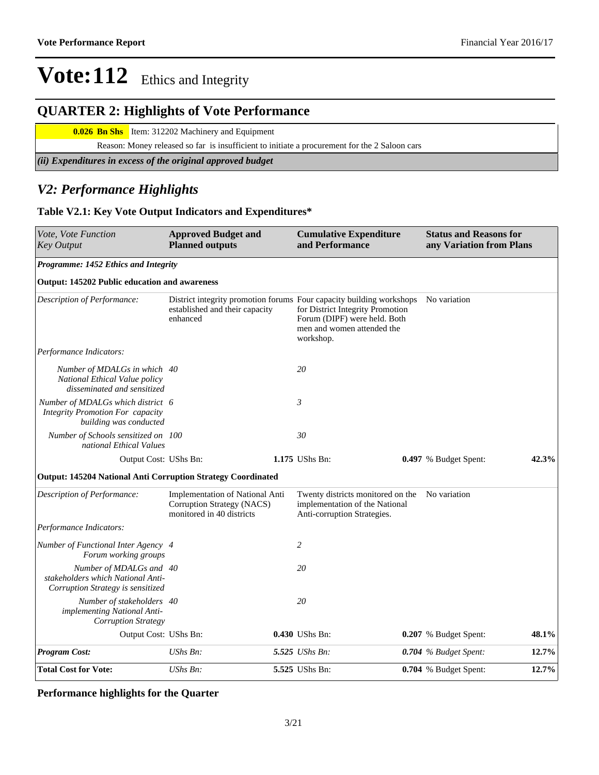## **QUARTER 2: Highlights of Vote Performance**

**0.026 Bn Shs** Item: 312202 Machinery and Equipment

Reason: Money released so far is insufficient to initiate a procurement for the 2 Saloon cars

*(ii) Expenditures in excess of the original approved budget*

## *V2: Performance Highlights*

### **Table V2.1: Key Vote Output Indicators and Expenditures\***

| Vote, Vote Function<br><b>Key Output</b>                                                               | <b>Approved Budget and</b><br><b>Planned outputs</b>                                       | <b>Cumulative Expenditure</b><br>and Performance                                                                                                                                    | <b>Status and Reasons for</b><br>any Variation from Plans |                         |       |
|--------------------------------------------------------------------------------------------------------|--------------------------------------------------------------------------------------------|-------------------------------------------------------------------------------------------------------------------------------------------------------------------------------------|-----------------------------------------------------------|-------------------------|-------|
| Programme: 1452 Ethics and Integrity                                                                   |                                                                                            |                                                                                                                                                                                     |                                                           |                         |       |
| Output: 145202 Public education and awareness                                                          |                                                                                            |                                                                                                                                                                                     |                                                           |                         |       |
| Description of Performance:                                                                            | established and their capacity<br>enhanced                                                 | District integrity promotion forums Four capacity building workshops<br>for District Integrity Promotion<br>Forum (DIPF) were held. Both<br>men and women attended the<br>workshop. |                                                           | No variation            |       |
| Performance Indicators:                                                                                |                                                                                            |                                                                                                                                                                                     |                                                           |                         |       |
| Number of MDALGs in which 40<br>National Ethical Value policy<br>disseminated and sensitized           |                                                                                            | 20                                                                                                                                                                                  |                                                           |                         |       |
| Number of MDALGs which district 6<br><b>Integrity Promotion For capacity</b><br>building was conducted |                                                                                            | 3                                                                                                                                                                                   |                                                           |                         |       |
| Number of Schools sensitized on 100<br>national Ethical Values                                         |                                                                                            | 30                                                                                                                                                                                  |                                                           |                         |       |
| Output Cost: UShs Bn:                                                                                  |                                                                                            | 1.175 UShs Bn:                                                                                                                                                                      |                                                           | 0.497 % Budget Spent:   | 42.3% |
| Output: 145204 National Anti Corruption Strategy Coordinated                                           |                                                                                            |                                                                                                                                                                                     |                                                           |                         |       |
| Description of Performance:                                                                            | Implementation of National Anti<br>Corruption Strategy (NACS)<br>monitored in 40 districts | Twenty districts monitored on the No variation<br>implementation of the National<br>Anti-corruption Strategies.                                                                     |                                                           |                         |       |
| Performance Indicators:                                                                                |                                                                                            |                                                                                                                                                                                     |                                                           |                         |       |
| Number of Functional Inter Agency 4<br>Forum working groups                                            |                                                                                            | $\overline{c}$                                                                                                                                                                      |                                                           |                         |       |
| Number of MDALGs and 40<br>stakeholders which National Anti-<br>Corruption Strategy is sensitized      |                                                                                            | 20                                                                                                                                                                                  |                                                           |                         |       |
| Number of stakeholders 40<br>implementing National Anti-<br><b>Corruption Strategy</b>                 |                                                                                            | 20                                                                                                                                                                                  |                                                           |                         |       |
| Output Cost: UShs Bn:                                                                                  |                                                                                            | 0.430 UShs Bn:                                                                                                                                                                      |                                                           | 0.207 % Budget Spent:   | 48.1% |
| <b>Program Cost:</b>                                                                                   | UShs Bn:                                                                                   | 5.525 UShs Bn:                                                                                                                                                                      |                                                           | $0.704$ % Budget Spent: | 12.7% |
| <b>Total Cost for Vote:</b>                                                                            | UShs Bn:                                                                                   | 5.525 UShs Bn:                                                                                                                                                                      |                                                           | 0.704 % Budget Spent:   | 12.7% |

### **Performance highlights for the Quarter**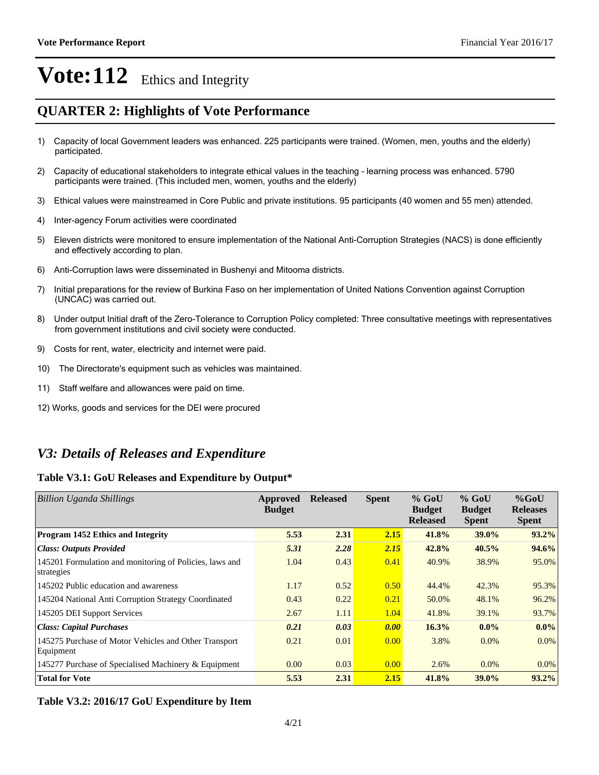## **QUARTER 2: Highlights of Vote Performance**

- 1) Capacity of local Government leaders was enhanced. 225 participants were trained. (Women, men, youths and the elderly) participated.
- 2) Capacity of educational stakeholders to integrate ethical values in the teaching learning process was enhanced. 5790 participants were trained. (This included men, women, youths and the elderly)
- 3)Ethical values were mainstreamed in Core Public and private institutions. 95 participants (40 women and 55 men) attended.
- 4) Inter-agency Forum activities were coordinated
- 5)Eleven districts were monitored to ensure implementation of the National Anti-Corruption Strategies (NACS) is done efficiently and effectively according to plan.
- 6) Anti-Corruption laws were disseminated in Bushenyi and Mitooma districts.
- 7) Initial preparations for the review of Burkina Faso on her implementation of United Nations Convention against Corruption (UNCAC) was carried out.
- 8) Under output Initial draft of the Zero-Tolerance to Corruption Policy completed: Three consultative meetings with representatives from government institutions and civil society were conducted.
- 9) Costs for rent, water, electricity and internet were paid.
- 10) The Directorate's equipment such as vehicles was maintained.
- 11) Staff welfare and allowances were paid on time.
- 12) Works, goods and services for the DEI were procured

## *V3: Details of Releases and Expenditure*

### **Table V3.1: GoU Releases and Expenditure by Output\***

| <b>Billion Uganda Shillings</b>                                       | Approved<br><b>Budget</b> | <b>Released</b> | <b>Spent</b> | $%$ GoU<br><b>Budget</b><br><b>Released</b> | $%$ GoU<br><b>Budget</b><br><b>Spent</b> | $%$ GoU<br><b>Releases</b><br><b>Spent</b> |
|-----------------------------------------------------------------------|---------------------------|-----------------|--------------|---------------------------------------------|------------------------------------------|--------------------------------------------|
| <b>Program 1452 Ethics and Integrity</b>                              | 5.53                      | 2.31            | 2.15         | 41.8%                                       | 39.0%                                    | 93.2%                                      |
| <b>Class: Outputs Provided</b>                                        | 5.31                      | 2.28            | 2.15         | 42.8%                                       | 40.5%                                    | 94.6%                                      |
| 145201 Formulation and monitoring of Policies, laws and<br>strategies | 1.04                      | 0.43            | 0.41         | 40.9%                                       | 38.9%                                    | 95.0%                                      |
| 145202 Public education and awareness                                 | 1.17                      | 0.52            | 0.50         | 44.4%                                       | 42.3%                                    | 95.3%                                      |
| 145204 National Anti Corruption Strategy Coordinated                  | 0.43                      | 0.22            | 0.21         | 50.0%                                       | 48.1%                                    | 96.2%                                      |
| 145205 DEI Support Services                                           | 2.67                      | 1.11            | 1.04         | 41.8%                                       | 39.1%                                    | 93.7%                                      |
| <b>Class: Capital Purchases</b>                                       | 0.21                      | 0.03            | 0.00         | 16.3%                                       | $0.0\%$                                  | $0.0\%$                                    |
| 145275 Purchase of Motor Vehicles and Other Transport<br>Equipment    | 0.21                      | 0.01            | 0.00         | 3.8%                                        | $0.0\%$                                  | $0.0\%$                                    |
| 145277 Purchase of Specialised Machinery & Equipment                  | 0.00                      | 0.03            | 0.00         | 2.6%                                        | $0.0\%$                                  | $0.0\%$                                    |
| <b>Total for Vote</b>                                                 | 5.53                      | 2.31            | 2.15         | 41.8%                                       | 39.0%                                    | 93.2%                                      |

**Table V3.2: 2016/17 GoU Expenditure by Item**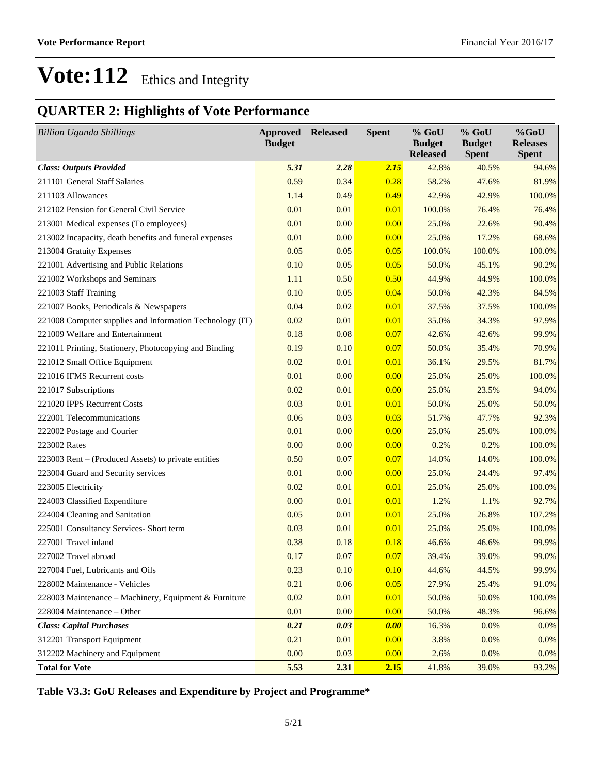## **QUARTER 2: Highlights of Vote Performance**

| <b>Billion Uganda Shillings</b>                          | <b>Approved</b><br><b>Budget</b> | <b>Released</b> | <b>Spent</b> | % GoU<br><b>Budget</b><br><b>Released</b> | $%$ GoU<br><b>Budget</b><br><b>Spent</b> | %GoU<br><b>Releases</b><br><b>Spent</b> |
|----------------------------------------------------------|----------------------------------|-----------------|--------------|-------------------------------------------|------------------------------------------|-----------------------------------------|
| <b>Class: Outputs Provided</b>                           | 5.31                             | 2.28            | 2.15         | 42.8%                                     | 40.5%                                    | 94.6%                                   |
| 211101 General Staff Salaries                            | 0.59                             | 0.34            | 0.28         | 58.2%                                     | 47.6%                                    | 81.9%                                   |
| 211103 Allowances                                        | 1.14                             | 0.49            | 0.49         | 42.9%                                     | 42.9%                                    | 100.0%                                  |
| 212102 Pension for General Civil Service                 | 0.01                             | 0.01            | 0.01         | 100.0%                                    | 76.4%                                    | 76.4%                                   |
| 213001 Medical expenses (To employees)                   | 0.01                             | 0.00            | 0.00         | 25.0%                                     | 22.6%                                    | 90.4%                                   |
| 213002 Incapacity, death benefits and funeral expenses   | 0.01                             | 0.00            | 0.00         | 25.0%                                     | 17.2%                                    | 68.6%                                   |
| 213004 Gratuity Expenses                                 | 0.05                             | 0.05            | 0.05         | 100.0%                                    | 100.0%                                   | 100.0%                                  |
| 221001 Advertising and Public Relations                  | 0.10                             | 0.05            | 0.05         | 50.0%                                     | 45.1%                                    | 90.2%                                   |
| 221002 Workshops and Seminars                            | 1.11                             | 0.50            | 0.50         | 44.9%                                     | 44.9%                                    | 100.0%                                  |
| 221003 Staff Training                                    | 0.10                             | 0.05            | 0.04         | 50.0%                                     | 42.3%                                    | 84.5%                                   |
| 221007 Books, Periodicals & Newspapers                   | 0.04                             | 0.02            | 0.01         | 37.5%                                     | 37.5%                                    | 100.0%                                  |
| 221008 Computer supplies and Information Technology (IT) | 0.02                             | 0.01            | 0.01         | 35.0%                                     | 34.3%                                    | 97.9%                                   |
| 221009 Welfare and Entertainment                         | 0.18                             | 0.08            | 0.07         | 42.6%                                     | 42.6%                                    | 99.9%                                   |
| 221011 Printing, Stationery, Photocopying and Binding    | 0.19                             | 0.10            | 0.07         | 50.0%                                     | 35.4%                                    | 70.9%                                   |
| 221012 Small Office Equipment                            | 0.02                             | 0.01            | 0.01         | 36.1%                                     | 29.5%                                    | 81.7%                                   |
| 221016 IFMS Recurrent costs                              | 0.01                             | 0.00            | 0.00         | 25.0%                                     | 25.0%                                    | 100.0%                                  |
| 221017 Subscriptions                                     | 0.02                             | 0.01            | 0.00         | 25.0%                                     | 23.5%                                    | 94.0%                                   |
| 221020 IPPS Recurrent Costs                              | 0.03                             | 0.01            | 0.01         | 50.0%                                     | 25.0%                                    | 50.0%                                   |
| 222001 Telecommunications                                | 0.06                             | 0.03            | 0.03         | 51.7%                                     | 47.7%                                    | 92.3%                                   |
| 222002 Postage and Courier                               | 0.01                             | 0.00            | 0.00         | 25.0%                                     | 25.0%                                    | 100.0%                                  |
| 223002 Rates                                             | 0.00                             | 0.00            | 0.00         | 0.2%                                      | 0.2%                                     | 100.0%                                  |
| 223003 Rent - (Produced Assets) to private entities      | 0.50                             | 0.07            | 0.07         | 14.0%                                     | 14.0%                                    | 100.0%                                  |
| 223004 Guard and Security services                       | 0.01                             | 0.00            | 0.00         | 25.0%                                     | 24.4%                                    | 97.4%                                   |
| 223005 Electricity                                       | 0.02                             | 0.01            | 0.01         | 25.0%                                     | 25.0%                                    | 100.0%                                  |
| 224003 Classified Expenditure                            | 0.00                             | 0.01            | 0.01         | 1.2%                                      | 1.1%                                     | 92.7%                                   |
| 224004 Cleaning and Sanitation                           | 0.05                             | 0.01            | 0.01         | 25.0%                                     | 26.8%                                    | 107.2%                                  |
| 225001 Consultancy Services- Short term                  | 0.03                             | 0.01            | 0.01         | 25.0%                                     | 25.0%                                    | 100.0%                                  |
| 227001 Travel inland                                     | 0.38                             | 0.18            | 0.18         | 46.6%                                     | 46.6%                                    | 99.9%                                   |
| 227002 Travel abroad                                     | 0.17                             | 0.07            | 0.07         | 39.4%                                     | 39.0%                                    | 99.0%                                   |
| 227004 Fuel, Lubricants and Oils                         | 0.23                             | 0.10            | 0.10         | 44.6%                                     | 44.5%                                    | 99.9%                                   |
| 228002 Maintenance - Vehicles                            | 0.21                             | 0.06            | 0.05         | 27.9%                                     | 25.4%                                    | 91.0%                                   |
| 228003 Maintenance - Machinery, Equipment & Furniture    | 0.02                             | 0.01            | 0.01         | 50.0%                                     | 50.0%                                    | 100.0%                                  |
| 228004 Maintenance - Other                               | 0.01                             | 0.00            | 0.00         | 50.0%                                     | 48.3%                                    | 96.6%                                   |
| <b>Class: Capital Purchases</b>                          | 0.21                             | 0.03            | 0.00         | 16.3%                                     | 0.0%                                     | 0.0%                                    |
| 312201 Transport Equipment                               | 0.21                             | 0.01            | 0.00         | 3.8%                                      | 0.0%                                     | 0.0%                                    |
| 312202 Machinery and Equipment                           | 0.00                             | 0.03            | 0.00         | 2.6%                                      | 0.0%                                     | 0.0%                                    |
| <b>Total for Vote</b>                                    | 5.53                             | 2.31            | 2.15         | 41.8%                                     | 39.0%                                    | 93.2%                                   |

**Table V3.3: GoU Releases and Expenditure by Project and Programme\***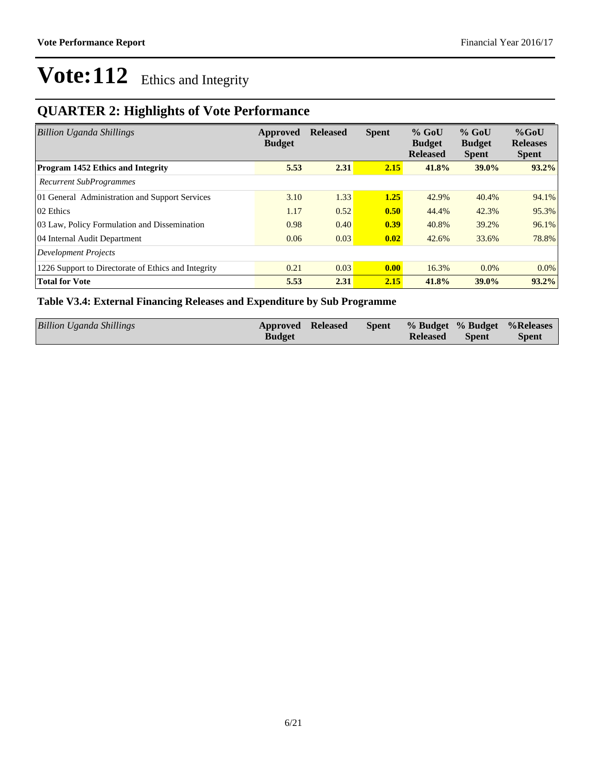## **QUARTER 2: Highlights of Vote Performance**

| <b>Billion Uganda Shillings</b>                     | Approved<br><b>Budget</b> | <b>Released</b> | <b>Spent</b>       | $%$ GoU<br><b>Budget</b><br><b>Released</b> | $%$ GoU<br><b>Budget</b><br><b>Spent</b> | $%$ GoU<br><b>Releases</b><br><b>Spent</b> |
|-----------------------------------------------------|---------------------------|-----------------|--------------------|---------------------------------------------|------------------------------------------|--------------------------------------------|
| <b>Program 1452 Ethics and Integrity</b>            | 5.53                      | 2.31            | 2.15               | 41.8%                                       | 39.0%                                    | 93.2%                                      |
| <b>Recurrent SubProgrammes</b>                      |                           |                 |                    |                                             |                                          |                                            |
| 01 General Administration and Support Services      | 3.10                      | 1.33            | 1.25               | 42.9%                                       | 40.4%                                    | 94.1%                                      |
| 02 Ethics                                           | 1.17                      | 0.52            | 0.50               | 44.4%                                       | 42.3%                                    | 95.3%                                      |
| 03 Law, Policy Formulation and Dissemination        | 0.98                      | 0.40            | 0.39               | 40.8%                                       | 39.2%                                    | 96.1%                                      |
| 04 Internal Audit Department                        | 0.06                      | 0.03            | 0.02               | 42.6%                                       | 33.6%                                    | 78.8%                                      |
| Development Projects                                |                           |                 |                    |                                             |                                          |                                            |
| 1226 Support to Directorate of Ethics and Integrity | 0.21                      | 0.03            | $\vert 0.00 \vert$ | 16.3%                                       | $0.0\%$                                  | $0.0\%$                                    |
| <b>Total for Vote</b>                               | 5.53                      | 2.31            | 2.15               | 41.8%                                       | 39.0%                                    | $93.2\%$                                   |

### **Table V3.4: External Financing Releases and Expenditure by Sub Programme**

| Billion Uganda Shillings | <b>Approved Released</b> |  |                 |              | Spent % Budget % Budget % Releases |
|--------------------------|--------------------------|--|-----------------|--------------|------------------------------------|
|                          | <b>Budget</b>            |  | <b>Released</b> | <b>Spent</b> | <b>Spent</b>                       |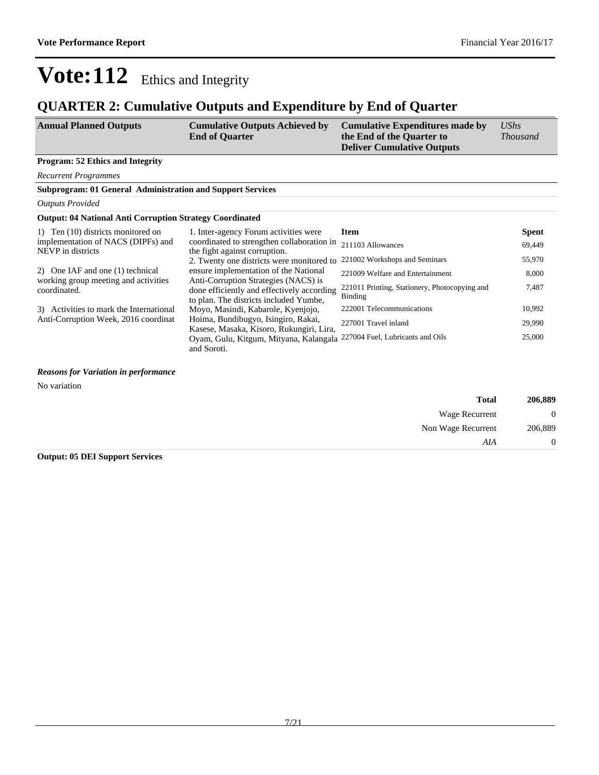## **QUARTER 2: Cumulative Outputs and Expenditure by End of Quarter**

| <b>Cumulative Outputs Achieved by</b><br><b>Annual Planned Outputs</b><br><b>End of Quarter</b> | <b>Cumulative Expenditures made by</b><br>the End of the Quarter to<br><b>Deliver Cumulative Outputs</b> | <b>UShs</b><br><i>Thousand</i> |
|-------------------------------------------------------------------------------------------------|----------------------------------------------------------------------------------------------------------|--------------------------------|
|-------------------------------------------------------------------------------------------------|----------------------------------------------------------------------------------------------------------|--------------------------------|

#### **Program: 52 Ethics and Integrity**

*Recurrent Programmes*

**Subprogram: 01 General Administration and Support Services**

*Outputs Provided*

#### **Output: 04 National Anti Corruption Strategy Coordinated**

| 1) Ten (10) districts monitored on                      | 1. Inter-agency Forum activities were                                                                                        | <b>Item</b>                                              | <b>Spent</b> |
|---------------------------------------------------------|------------------------------------------------------------------------------------------------------------------------------|----------------------------------------------------------|--------------|
| implementation of NACS (DIPFs) and<br>NEVP in districts | coordinated to strengthen collaboration in<br>the fight against corruption.                                                  | 211103 Allowances                                        | 69.449       |
|                                                         | 2. Twenty one districts were monitored to                                                                                    | 221002 Workshops and Seminars                            | 55,970       |
| 2) One IAF and one (1) technical                        | ensure implementation of the National                                                                                        | 221009 Welfare and Entertainment                         | 8.000        |
| working group meeting and activities<br>coordinated.    | Anti-Corruption Strategies (NACS) is<br>done efficiently and effectively according<br>to plan. The districts included Yumbe, | 221011 Printing, Stationery, Photocopying and<br>Binding | 7,487        |
| 3) Activities to mark the International                 | Moyo, Masindi, Kabarole, Kyenjojo,                                                                                           | 222001 Telecommunications                                | 10.992       |
| Anti-Corruption Week, 2016 coordinat                    | Hoima, Bundibugyo, Isingiro, Rakai,<br>Kasese, Masaka, Kisoro, Rukungiri, Lira,                                              | 227001 Travel inland                                     | 29.990       |
|                                                         | Oyam, Gulu, Kitgum, Mityana, Kalangala 227004 Fuel, Lubricants and Oils                                                      |                                                          | 25,000       |
|                                                         | and Soroti.                                                                                                                  |                                                          |              |

#### *Reasons for Variation in performance*

No variation

| 206,889          | <b>Total</b>       |
|------------------|--------------------|
| $\boldsymbol{0}$ | Wage Recurrent     |
| 206,889          | Non Wage Recurrent |
| 0                | AIA                |

**Output: 05 DEI Support Services**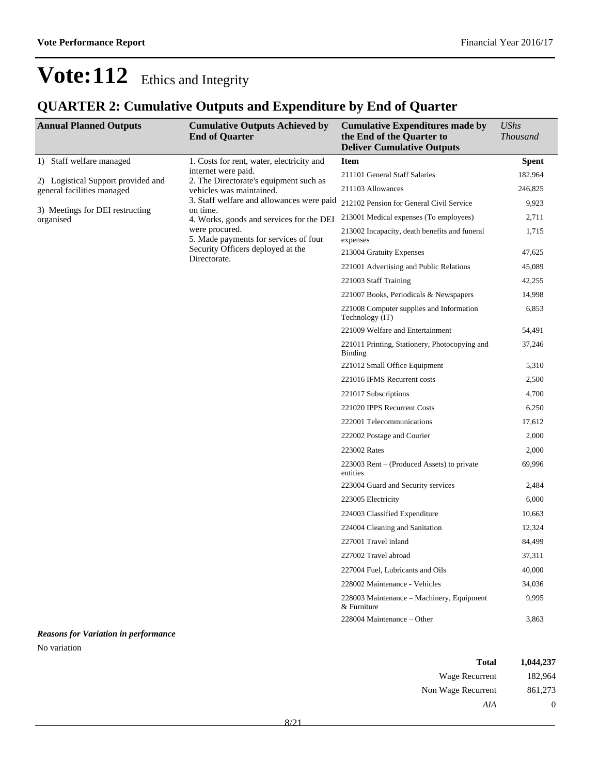## **QUARTER 2: Cumulative Outputs and Expenditure by End of Quarter**

| <b>Annual Planned Outputs</b>                          | <b>Cumulative Outputs Achieved by</b><br><b>End of Quarter</b> | <b>Cumulative Expenditures made by</b><br>the End of the Quarter to<br><b>Deliver Cumulative Outputs</b> | <b>UShs</b><br><b>Thousand</b> |
|--------------------------------------------------------|----------------------------------------------------------------|----------------------------------------------------------------------------------------------------------|--------------------------------|
| 1) Staff welfare managed                               | 1. Costs for rent, water, electricity and                      | <b>Item</b>                                                                                              | <b>Spent</b>                   |
| 2) Logistical Support provided and                     | internet were paid.<br>2. The Directorate's equipment such as  | 211101 General Staff Salaries                                                                            | 182,964                        |
| vehicles was maintained.<br>general facilities managed | 211103 Allowances                                              | 246,825                                                                                                  |                                |
|                                                        | 3. Staff welfare and allowances were paid                      | 212102 Pension for General Civil Service                                                                 | 9,923                          |
| 3) Meetings for DEI restructing<br>organised           | on time.<br>4. Works, goods and services for the DEI           | 213001 Medical expenses (To employees)                                                                   | 2,711                          |
|                                                        | were procured.<br>5. Made payments for services of four        | 213002 Incapacity, death benefits and funeral<br>expenses                                                | 1,715                          |
|                                                        | Security Officers deployed at the<br>Directorate.              | 213004 Gratuity Expenses                                                                                 | 47,625                         |
|                                                        |                                                                | 221001 Advertising and Public Relations                                                                  | 45,089                         |
|                                                        |                                                                | 221003 Staff Training                                                                                    | 42,255                         |
|                                                        |                                                                | 221007 Books, Periodicals & Newspapers                                                                   | 14,998                         |
|                                                        |                                                                | 221008 Computer supplies and Information<br>Technology (IT)                                              | 6,853                          |
|                                                        |                                                                | 221009 Welfare and Entertainment                                                                         | 54,491                         |
|                                                        |                                                                | 221011 Printing, Stationery, Photocopying and<br>Binding                                                 | 37,246                         |
|                                                        |                                                                | 221012 Small Office Equipment                                                                            | 5,310                          |
|                                                        |                                                                | 221016 IFMS Recurrent costs                                                                              | 2,500                          |
|                                                        |                                                                | 221017 Subscriptions                                                                                     | 4,700                          |
|                                                        |                                                                | 221020 IPPS Recurrent Costs                                                                              | 6,250                          |
|                                                        |                                                                | 222001 Telecommunications                                                                                | 17,612                         |
|                                                        |                                                                | 222002 Postage and Courier                                                                               | 2,000                          |
|                                                        |                                                                | 223002 Rates                                                                                             | 2,000                          |
|                                                        |                                                                | 223003 Rent – (Produced Assets) to private<br>entities                                                   | 69,996                         |
|                                                        |                                                                | 223004 Guard and Security services                                                                       | 2,484                          |
|                                                        |                                                                | 223005 Electricity                                                                                       | 6,000                          |
|                                                        |                                                                | 224003 Classified Expenditure                                                                            | 10,663                         |
|                                                        |                                                                | 224004 Cleaning and Sanitation                                                                           | 12,324                         |
|                                                        |                                                                | 227001 Travel inland                                                                                     | 84,499                         |
|                                                        |                                                                | 227002 Travel abroad                                                                                     | 37,311                         |
|                                                        |                                                                | 227004 Fuel, Lubricants and Oils                                                                         | 40,000                         |
|                                                        |                                                                | 228002 Maintenance - Vehicles                                                                            | 34,036                         |
|                                                        |                                                                | 228003 Maintenance - Machinery, Equipment<br>& Furniture                                                 | 9,995                          |
|                                                        |                                                                | 228004 Maintenance - Other                                                                               | 3,863                          |

*Reasons for Variation in performance* No variation

| Total              | 1,044,237 |
|--------------------|-----------|
| Wage Recurrent     | 182,964   |
| Non Wage Recurrent | 861,273   |
| AIA                | $\theta$  |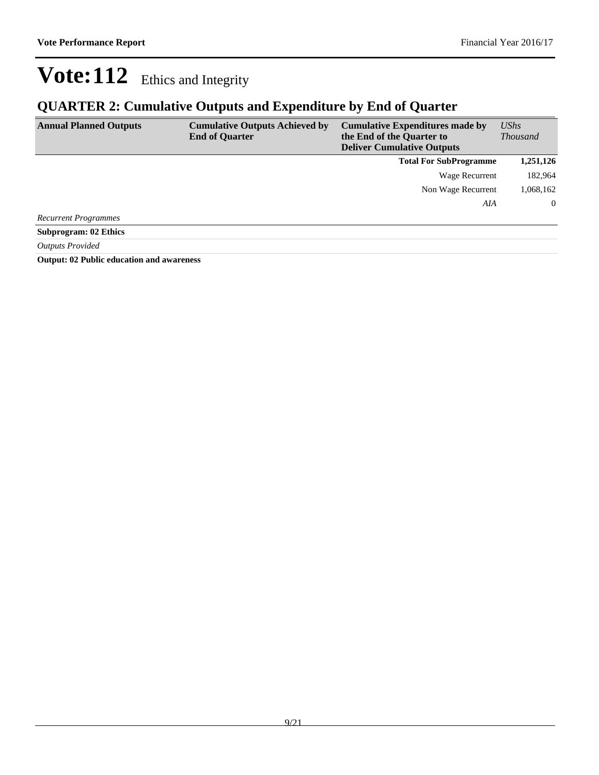## **QUARTER 2: Cumulative Outputs and Expenditure by End of Quarter**

| <b>Annual Planned Outputs</b> | <b>Cumulative Outputs Achieved by</b><br><b>End of Quarter</b> | <b>Cumulative Expenditures made by</b><br>the End of the Quarter to<br><b>Deliver Cumulative Outputs</b> | <b>UShs</b><br><b>Thousand</b> |
|-------------------------------|----------------------------------------------------------------|----------------------------------------------------------------------------------------------------------|--------------------------------|
|                               |                                                                | <b>Total For SubProgramme</b>                                                                            | 1,251,126                      |
|                               |                                                                | Wage Recurrent                                                                                           | 182,964                        |
|                               |                                                                | Non Wage Recurrent                                                                                       | 1,068,162                      |
|                               |                                                                | AIA                                                                                                      | $\overline{0}$                 |
| <b>Recurrent Programmes</b>   |                                                                |                                                                                                          |                                |
| <b>Subprogram: 02 Ethics</b>  |                                                                |                                                                                                          |                                |
| <b>Outputs Provided</b>       |                                                                |                                                                                                          |                                |

**Output: 02 Public education and awareness**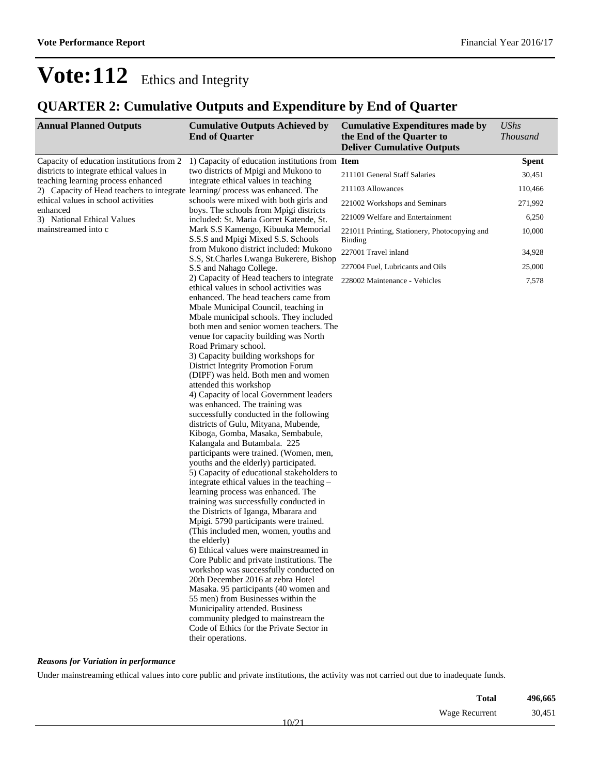## **QUARTER 2: Cumulative Outputs and Expenditure by End of Quarter**

| <b>Annual Planned Outputs</b>                                                                                       | <b>Cumulative Outputs Achieved by</b><br><b>End of Quarter</b>                                                                                                                                                                                                                                                                                                                                                                                                                                                                                                                                                                                                                                                                                                                                                                                                                                                                                                                                                                                                                                                                                                                                                                                                                                                                                                                                                                                                              | <b>Cumulative Expenditures made by</b><br>the End of the Quarter to<br><b>Deliver Cumulative Outputs</b> | <b>UShs</b><br><b>Thousand</b> |
|---------------------------------------------------------------------------------------------------------------------|-----------------------------------------------------------------------------------------------------------------------------------------------------------------------------------------------------------------------------------------------------------------------------------------------------------------------------------------------------------------------------------------------------------------------------------------------------------------------------------------------------------------------------------------------------------------------------------------------------------------------------------------------------------------------------------------------------------------------------------------------------------------------------------------------------------------------------------------------------------------------------------------------------------------------------------------------------------------------------------------------------------------------------------------------------------------------------------------------------------------------------------------------------------------------------------------------------------------------------------------------------------------------------------------------------------------------------------------------------------------------------------------------------------------------------------------------------------------------------|----------------------------------------------------------------------------------------------------------|--------------------------------|
| Capacity of education institutions from 2                                                                           | 1) Capacity of education institutions from Item                                                                                                                                                                                                                                                                                                                                                                                                                                                                                                                                                                                                                                                                                                                                                                                                                                                                                                                                                                                                                                                                                                                                                                                                                                                                                                                                                                                                                             |                                                                                                          | <b>Spent</b>                   |
| districts to integrate ethical values in                                                                            | two districts of Mpigi and Mukono to                                                                                                                                                                                                                                                                                                                                                                                                                                                                                                                                                                                                                                                                                                                                                                                                                                                                                                                                                                                                                                                                                                                                                                                                                                                                                                                                                                                                                                        | 211101 General Staff Salaries                                                                            | 30,451                         |
| teaching learning process enhanced<br>2) Capacity of Head teachers to integrate learning/ process was enhanced. The | integrate ethical values in teaching                                                                                                                                                                                                                                                                                                                                                                                                                                                                                                                                                                                                                                                                                                                                                                                                                                                                                                                                                                                                                                                                                                                                                                                                                                                                                                                                                                                                                                        | 211103 Allowances                                                                                        | 110,466                        |
| ethical values in school activities                                                                                 | schools were mixed with both girls and                                                                                                                                                                                                                                                                                                                                                                                                                                                                                                                                                                                                                                                                                                                                                                                                                                                                                                                                                                                                                                                                                                                                                                                                                                                                                                                                                                                                                                      | 221002 Workshops and Seminars                                                                            | 271,992                        |
| enhanced<br>3) National Ethical Values                                                                              | boys. The schools from Mpigi districts<br>included: St. Maria Gorret Katende, St.                                                                                                                                                                                                                                                                                                                                                                                                                                                                                                                                                                                                                                                                                                                                                                                                                                                                                                                                                                                                                                                                                                                                                                                                                                                                                                                                                                                           | 221009 Welfare and Entertainment                                                                         | 6,250                          |
| mainstreamed into c                                                                                                 | Mark S.S Kamengo, Kibuuka Memorial<br>S.S.S and Mpigi Mixed S.S. Schools                                                                                                                                                                                                                                                                                                                                                                                                                                                                                                                                                                                                                                                                                                                                                                                                                                                                                                                                                                                                                                                                                                                                                                                                                                                                                                                                                                                                    | 221011 Printing, Stationery, Photocopying and<br><b>Binding</b>                                          | 10,000                         |
|                                                                                                                     | from Mukono district included: Mukono                                                                                                                                                                                                                                                                                                                                                                                                                                                                                                                                                                                                                                                                                                                                                                                                                                                                                                                                                                                                                                                                                                                                                                                                                                                                                                                                                                                                                                       | 227001 Travel inland                                                                                     | 34,928                         |
|                                                                                                                     | S.S, St.Charles Lwanga Bukerere, Bishop<br>S.S and Nahago College.                                                                                                                                                                                                                                                                                                                                                                                                                                                                                                                                                                                                                                                                                                                                                                                                                                                                                                                                                                                                                                                                                                                                                                                                                                                                                                                                                                                                          | 227004 Fuel, Lubricants and Oils                                                                         | 25,000                         |
|                                                                                                                     | 2) Capacity of Head teachers to integrate                                                                                                                                                                                                                                                                                                                                                                                                                                                                                                                                                                                                                                                                                                                                                                                                                                                                                                                                                                                                                                                                                                                                                                                                                                                                                                                                                                                                                                   |                                                                                                          |                                |
|                                                                                                                     | ethical values in school activities was<br>enhanced. The head teachers came from<br>Mbale Municipal Council, teaching in<br>Mbale municipal schools. They included<br>both men and senior women teachers. The<br>venue for capacity building was North<br>Road Primary school.<br>3) Capacity building workshops for<br>District Integrity Promotion Forum<br>(DIPF) was held. Both men and women<br>attended this workshop<br>4) Capacity of local Government leaders<br>was enhanced. The training was<br>successfully conducted in the following<br>districts of Gulu, Mityana, Mubende,<br>Kiboga, Gomba, Masaka, Sembabule,<br>Kalangala and Butambala. 225<br>participants were trained. (Women, men,<br>youths and the elderly) participated.<br>5) Capacity of educational stakeholders to<br>integrate ethical values in the teaching -<br>learning process was enhanced. The<br>training was successfully conducted in<br>the Districts of Iganga, Mbarara and<br>Mpigi. 5790 participants were trained.<br>(This included men, women, youths and<br>the elderly)<br>6) Ethical values were mainstreamed in<br>Core Public and private institutions. The<br>workshop was successfully conducted on<br>20th December 2016 at zebra Hotel<br>Masaka. 95 participants (40 women and<br>55 men) from Businesses within the<br>Municipality attended. Business<br>community pledged to mainstream the<br>Code of Ethics for the Private Sector in<br>their operations. | 228002 Maintenance - Vehicles                                                                            | 7,578                          |

### *Reasons for Variation in performance*

Under mainstreaming ethical values into core public and private institutions, the activity was not carried out due to inadequate funds.

| 496,665 | Total                   |  |
|---------|-------------------------|--|
| 30,451  | Wage Recurrent<br>10131 |  |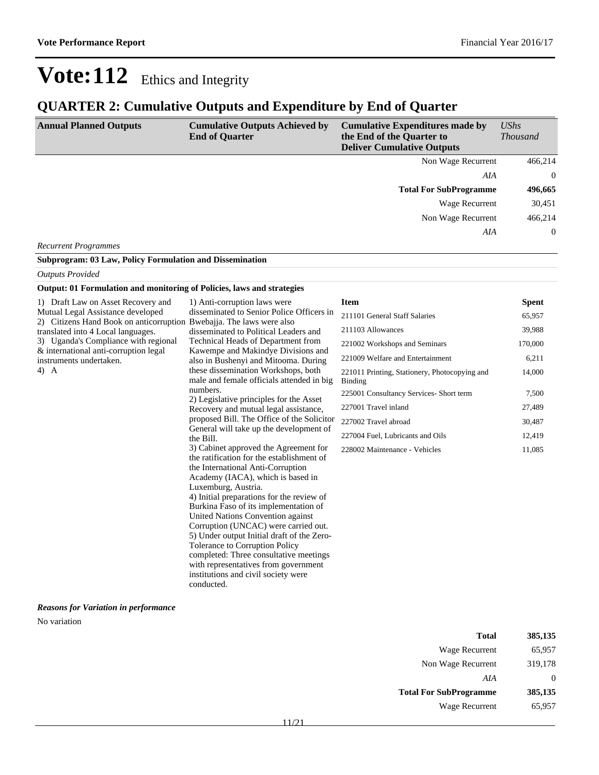## **QUARTER 2: Cumulative Outputs and Expenditure by End of Quarter**

| <b>Annual Planned Outputs</b> | <b>Cumulative Outputs Achieved by</b><br><b>End of Quarter</b> | <b>Cumulative Expenditures made by</b><br>the End of the Quarter to<br><b>Deliver Cumulative Outputs</b> | $\mathit{UShs}$<br><i>Thousand</i> |
|-------------------------------|----------------------------------------------------------------|----------------------------------------------------------------------------------------------------------|------------------------------------|
|                               |                                                                | Non Wage Recurrent                                                                                       | 466,214                            |
|                               |                                                                | AIA                                                                                                      | $\Omega$                           |
|                               |                                                                | <b>Total For SubProgramme</b>                                                                            | 496,665                            |
|                               |                                                                | Wage Recurrent                                                                                           | 30,451                             |
|                               |                                                                | Non Wage Recurrent                                                                                       | 466,214                            |
|                               |                                                                | AIA                                                                                                      | $\overline{0}$                     |
| <b>Recurrent Programmes</b>   |                                                                |                                                                                                          |                                    |

#### **Subprogram: 03 Law, Policy Formulation and Dissemination**

#### *Outputs Provided*

#### **Output: 01 Formulation and monitoring of Policies, laws and strategies**

| 1) Draft Law on Asset Recovery and                                   | 1) Anti-corruption laws were                                               | <b>Item</b>                                              | <b>Spent</b> |
|----------------------------------------------------------------------|----------------------------------------------------------------------------|----------------------------------------------------------|--------------|
| Mutual Legal Assistance developed                                    | disseminated to Senior Police Officers in                                  | 211101 General Staff Salaries                            | 65,957       |
| 2) Citizens Hand Book on anticorruption Bwebajja. The laws were also |                                                                            | 211103 Allowances                                        | 39,988       |
| translated into 4 Local languages.                                   | disseminated to Political Leaders and                                      |                                                          |              |
| 3) Uganda's Compliance with regional                                 | Technical Heads of Department from                                         | 221002 Workshops and Seminars                            | 170,000      |
| & international anti-corruption legal<br>instruments undertaken.     | Kawempe and Makindye Divisions and<br>also in Bushenyi and Mitooma. During | 221009 Welfare and Entertainment                         | 6,211        |
| $4)$ A                                                               | these dissemination Workshops, both                                        |                                                          |              |
|                                                                      | male and female officials attended in big                                  | 221011 Printing, Stationery, Photocopying and<br>Binding | 14,000       |
|                                                                      | numbers.                                                                   |                                                          |              |
|                                                                      | 2) Legislative principles for the Asset                                    | 225001 Consultancy Services- Short term                  | 7,500        |
|                                                                      | Recovery and mutual legal assistance,                                      | 227001 Travel inland                                     | 27,489       |
|                                                                      | proposed Bill. The Office of the Solicitor                                 | 227002 Travel abroad                                     | 30,487       |
|                                                                      | General will take up the development of<br>the Bill.                       | 227004 Fuel, Lubricants and Oils                         | 12,419       |
|                                                                      | 3) Cabinet approved the Agreement for                                      | 228002 Maintenance - Vehicles                            | 11,085       |
|                                                                      | the ratification for the establishment of                                  |                                                          |              |
|                                                                      | the International Anti-Corruption                                          |                                                          |              |
|                                                                      | Academy (IACA), which is based in                                          |                                                          |              |
|                                                                      | Luxemburg, Austria.                                                        |                                                          |              |
|                                                                      | 4) Initial preparations for the review of                                  |                                                          |              |
|                                                                      | Burkina Faso of its implementation of                                      |                                                          |              |
|                                                                      | United Nations Convention against                                          |                                                          |              |
|                                                                      | Corruption (UNCAC) were carried out.                                       |                                                          |              |
|                                                                      | 5) Under output Initial draft of the Zero-                                 |                                                          |              |
|                                                                      | Tolerance to Corruption Policy                                             |                                                          |              |
|                                                                      | completed: Three consultative meetings                                     |                                                          |              |
|                                                                      | with representatives from government                                       |                                                          |              |
|                                                                      | institutions and civil society were                                        |                                                          |              |
|                                                                      | conducted.                                                                 |                                                          |              |

#### *Reasons for Variation in performance*

#### No variation

| 385,135           | Total                         |
|-------------------|-------------------------------|
| 65,957            | Wage Recurrent                |
| 319,178           | Non Wage Recurrent            |
| $\mathbf{\Omega}$ | AIA                           |
| 385,135           | <b>Total For SubProgramme</b> |
| 65,957            | Wage Recurrent                |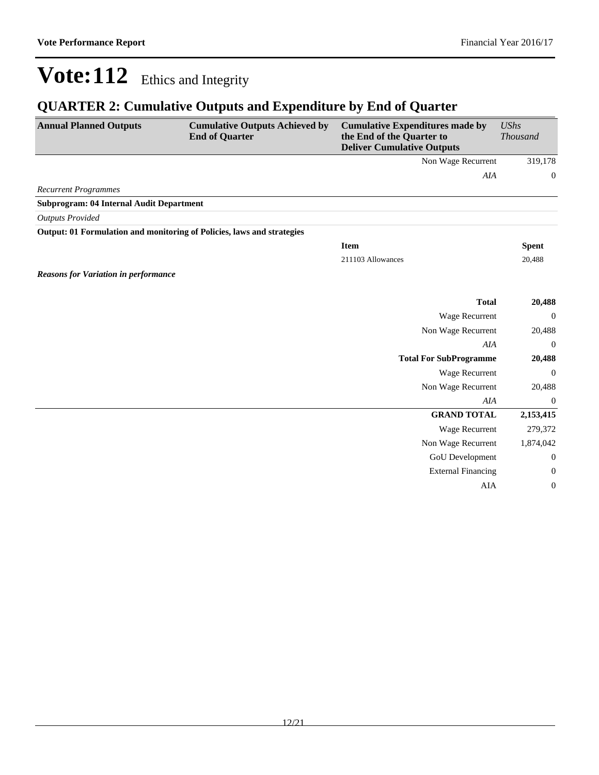## **QUARTER 2: Cumulative Outputs and Expenditure by End of Quarter**

| <b>Annual Planned Outputs</b>               | <b>Cumulative Outputs Achieved by</b><br><b>End of Quarter</b>         | <b>Cumulative Expenditures made by</b><br>the End of the Quarter to<br><b>Deliver Cumulative Outputs</b> | <b>UShs</b><br><b>Thousand</b> |
|---------------------------------------------|------------------------------------------------------------------------|----------------------------------------------------------------------------------------------------------|--------------------------------|
|                                             |                                                                        | Non Wage Recurrent                                                                                       | 319,178                        |
|                                             |                                                                        | AIA                                                                                                      | $\boldsymbol{0}$               |
| <b>Recurrent Programmes</b>                 |                                                                        |                                                                                                          |                                |
| Subprogram: 04 Internal Audit Department    |                                                                        |                                                                                                          |                                |
| <b>Outputs Provided</b>                     |                                                                        |                                                                                                          |                                |
|                                             | Output: 01 Formulation and monitoring of Policies, laws and strategies |                                                                                                          |                                |
|                                             |                                                                        | <b>Item</b>                                                                                              | <b>Spent</b>                   |
|                                             |                                                                        | 211103 Allowances                                                                                        | 20,488                         |
| <b>Reasons for Variation in performance</b> |                                                                        |                                                                                                          |                                |
|                                             |                                                                        |                                                                                                          |                                |
|                                             |                                                                        | <b>Total</b>                                                                                             | 20,488                         |
|                                             |                                                                        | Wage Recurrent                                                                                           | $\mathbf{0}$                   |
|                                             |                                                                        | Non Wage Recurrent                                                                                       | 20,488                         |
|                                             |                                                                        | AIA                                                                                                      | $\Omega$                       |
|                                             |                                                                        | <b>Total For SubProgramme</b>                                                                            | 20,488                         |
|                                             |                                                                        | <b>Wage Recurrent</b>                                                                                    | $\mathbf{0}$                   |
|                                             |                                                                        | Non Wage Recurrent                                                                                       | 20,488                         |
|                                             |                                                                        | <b>AIA</b>                                                                                               | $\mathbf{0}$                   |
|                                             |                                                                        | <b>GRAND TOTAL</b>                                                                                       | 2,153,415                      |
|                                             |                                                                        | <b>Wage Recurrent</b>                                                                                    | 279,372                        |
|                                             |                                                                        | Non Wage Recurrent                                                                                       | 1,874,042                      |
|                                             |                                                                        | GoU Development                                                                                          | $\boldsymbol{0}$               |
|                                             |                                                                        | <b>External Financing</b>                                                                                | $\mathbf{0}$                   |
|                                             |                                                                        | AIA                                                                                                      | $\boldsymbol{0}$               |
|                                             |                                                                        |                                                                                                          |                                |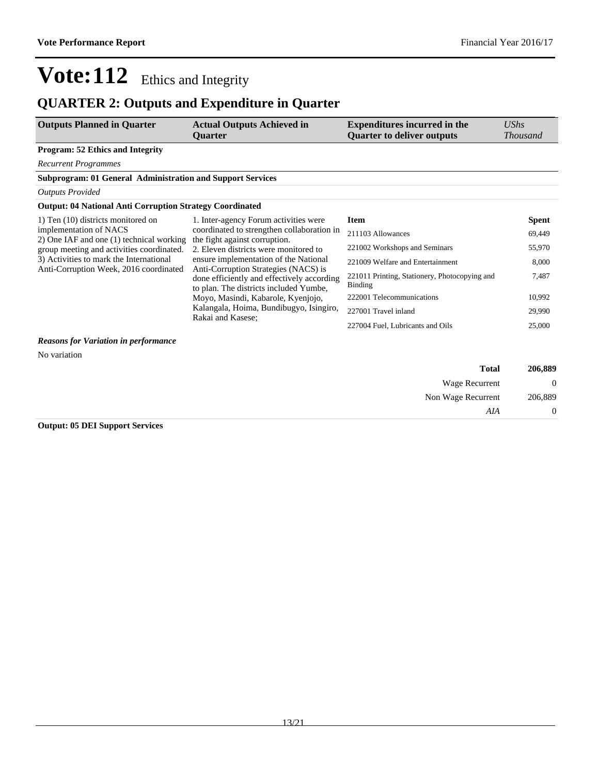## **QUARTER 2: Outputs and Expenditure in Quarter**

| <b>Outputs Planned in Quarter</b>       | <b>Actual Outputs Achieved in</b> | <b>Expenditures incurred in the</b> | UShs            |
|-----------------------------------------|-----------------------------------|-------------------------------------|-----------------|
|                                         | Ouarter                           | <b>Ouarter to deliver outputs</b>   | <i>Thousand</i> |
| <b>Program: 52 Ethics and Integrity</b> |                                   |                                     |                 |

*Recurrent Programmes*

### **Subprogram: 01 General Administration and Support Services**

#### *Outputs Provided*

### **Output: 04 National Anti Corruption Strategy Coordinated**

| 1) Ten (10) districts monitored on                                                | 1. Inter-agency Forum activities were                                                | <b>Item</b>                                              | <b>Spent</b> |
|-----------------------------------------------------------------------------------|--------------------------------------------------------------------------------------|----------------------------------------------------------|--------------|
| implementation of NACS<br>2) One IAF and one (1) technical working                | coordinated to strengthen collaboration in<br>the fight against corruption.          | 211103 Allowances                                        | 69,449       |
| group meeting and activities coordinated.                                         | 2. Eleven districts were monitored to                                                | 221002 Workshops and Seminars                            | 55,970       |
| 3) Activities to mark the International<br>Anti-Corruption Week, 2016 coordinated | ensure implementation of the National<br>Anti-Corruption Strategies (NACS) is        | 221009 Welfare and Entertainment                         | 8,000        |
|                                                                                   | done efficiently and effectively according<br>to plan. The districts included Yumbe, | 221011 Printing, Stationery, Photocopying and<br>Binding | 7,487        |
|                                                                                   | Moyo, Masindi, Kabarole, Kyenjojo,                                                   | 222001 Telecommunications                                | 10,992       |
|                                                                                   | Kalangala, Hoima, Bundibugyo, Isingiro,<br>Rakai and Kasese:                         | 227001 Travel inland                                     | 29,990       |
|                                                                                   |                                                                                      | 227004 Fuel, Lubricants and Oils                         | 25,000       |
| <b>Reasons for Variation in performance</b>                                       |                                                                                      |                                                          |              |
| No variation                                                                      |                                                                                      |                                                          |              |

| 206,889 | <b>Total</b>       |
|---------|--------------------|
| 0       | Wage Recurrent     |
| 206,889 | Non Wage Recurrent |
|         | AIA                |

### **Output: 05 DEI Support Services**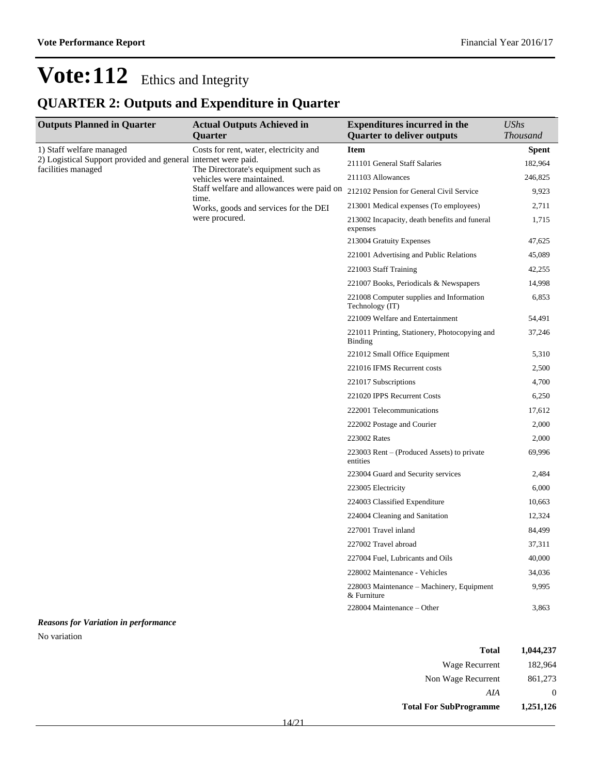## **QUARTER 2: Outputs and Expenditure in Quarter**

| <b>Outputs Planned in Quarter</b>                                                            | <b>Actual Outputs Achieved in</b><br>Quarter                                                                  | <b>Expenditures incurred in the</b><br><b>Quarter to deliver outputs</b> | <b>UShs</b><br><b>Thousand</b> |
|----------------------------------------------------------------------------------------------|---------------------------------------------------------------------------------------------------------------|--------------------------------------------------------------------------|--------------------------------|
| 1) Staff welfare managed<br>2) Logistical Support provided and general<br>facilities managed | Costs for rent, water, electricity and                                                                        | <b>Item</b>                                                              | <b>Spent</b>                   |
|                                                                                              | internet were paid.                                                                                           | 211101 General Staff Salaries                                            | 182,964                        |
|                                                                                              | The Directorate's equipment such as<br>vehicles were maintained.                                              | 211103 Allowances                                                        | 246,825                        |
|                                                                                              | Staff welfare and allowances were paid on<br>time.<br>Works, goods and services for the DEI<br>were procured. | 212102 Pension for General Civil Service                                 | 9,923                          |
|                                                                                              |                                                                                                               | 213001 Medical expenses (To employees)                                   | 2,711                          |
|                                                                                              |                                                                                                               | 213002 Incapacity, death benefits and funeral<br>expenses                | 1,715                          |
|                                                                                              |                                                                                                               | 213004 Gratuity Expenses                                                 | 47,625                         |
|                                                                                              |                                                                                                               | 221001 Advertising and Public Relations                                  | 45,089                         |
|                                                                                              |                                                                                                               | 221003 Staff Training                                                    | 42,255                         |
|                                                                                              |                                                                                                               | 221007 Books, Periodicals & Newspapers                                   | 14,998                         |
|                                                                                              |                                                                                                               | 221008 Computer supplies and Information<br>Technology (IT)              | 6,853                          |
|                                                                                              |                                                                                                               | 221009 Welfare and Entertainment                                         | 54,491                         |
|                                                                                              |                                                                                                               | 221011 Printing, Stationery, Photocopying and<br><b>Binding</b>          | 37,246                         |
|                                                                                              |                                                                                                               | 221012 Small Office Equipment                                            | 5,310                          |
|                                                                                              |                                                                                                               | 221016 IFMS Recurrent costs                                              | 2,500                          |
|                                                                                              |                                                                                                               | 221017 Subscriptions                                                     | 4,700                          |
|                                                                                              |                                                                                                               | 221020 IPPS Recurrent Costs                                              | 6,250                          |
|                                                                                              |                                                                                                               | 222001 Telecommunications                                                | 17,612                         |
|                                                                                              |                                                                                                               | 222002 Postage and Courier                                               | 2,000                          |
|                                                                                              |                                                                                                               | 223002 Rates                                                             | 2,000                          |
|                                                                                              |                                                                                                               | 223003 Rent – (Produced Assets) to private<br>entities                   | 69,996                         |
|                                                                                              |                                                                                                               | 223004 Guard and Security services                                       | 2,484                          |
|                                                                                              |                                                                                                               | 223005 Electricity                                                       | 6,000                          |
|                                                                                              |                                                                                                               | 224003 Classified Expenditure                                            | 10,663                         |
|                                                                                              |                                                                                                               | 224004 Cleaning and Sanitation                                           | 12,324                         |
|                                                                                              |                                                                                                               | 227001 Travel inland                                                     | 84,499                         |
|                                                                                              |                                                                                                               | 227002 Travel abroad                                                     | 37,311                         |
|                                                                                              |                                                                                                               | 227004 Fuel, Lubricants and Oils                                         | 40,000                         |
|                                                                                              |                                                                                                               | 228002 Maintenance - Vehicles                                            | 34,036                         |
|                                                                                              |                                                                                                               | 228003 Maintenance – Machinery, Equipment<br>& Furniture                 | 9,995                          |
|                                                                                              |                                                                                                               | 228004 Maintenance – Other                                               | 3,863                          |

### *Reasons for Variation in performance*

No variation

| Total                         | 1,044,237 |
|-------------------------------|-----------|
| Wage Recurrent                | 182,964   |
| Non Wage Recurrent            | 861,273   |
| AIA                           | $\theta$  |
| <b>Total For SubProgramme</b> | 1,251,126 |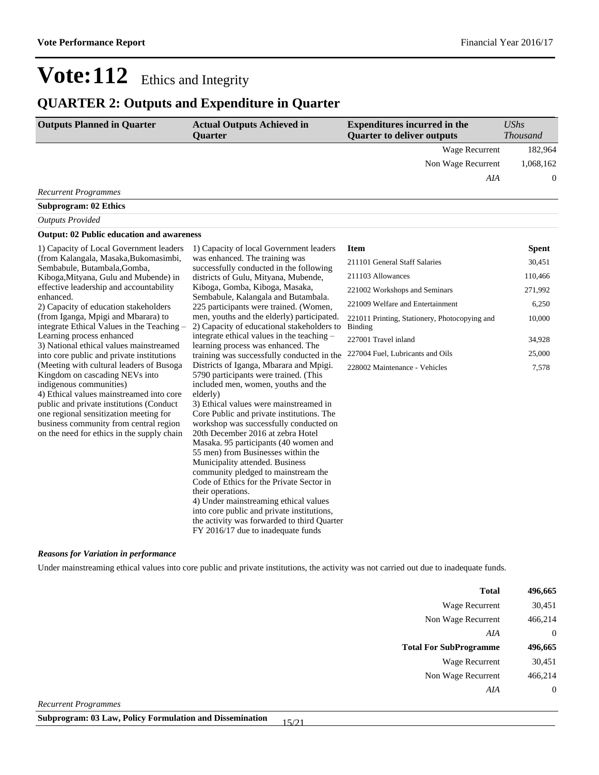## **QUARTER 2: Outputs and Expenditure in Quarter**

| <b>Outputs Planned in Quarter</b> | <b>Actual Outputs Achieved in</b><br>Ouarter | <b>Expenditures incurred in the</b><br><b>Quarter to deliver outputs</b> | <b>UShs</b><br><i>Thousand</i> |  |
|-----------------------------------|----------------------------------------------|--------------------------------------------------------------------------|--------------------------------|--|
|                                   |                                              | Wage Recurrent                                                           | 182,964                        |  |
|                                   |                                              | Non Wage Recurrent                                                       | 1,068,162                      |  |
|                                   |                                              | AIA                                                                      | $\Omega$                       |  |
| <b>Recurrent Programmes</b>       |                                              |                                                                          |                                |  |

### **Subprogram: 02 Ethics**

### *Outputs Provided*

#### **Output: 02 Public education and awareness**

| 1) Capacity of Local Government leaders                                                                                                                                                                                                                                                                                                                                       | 1) Capacity of local Government leaders                                                                                                                                                                                                                                                                                                                                                                                                                                                                                                                                           | <b>Item</b>                                              | Spent   |
|-------------------------------------------------------------------------------------------------------------------------------------------------------------------------------------------------------------------------------------------------------------------------------------------------------------------------------------------------------------------------------|-----------------------------------------------------------------------------------------------------------------------------------------------------------------------------------------------------------------------------------------------------------------------------------------------------------------------------------------------------------------------------------------------------------------------------------------------------------------------------------------------------------------------------------------------------------------------------------|----------------------------------------------------------|---------|
| (from Kalangala, Masaka, Bukomasimbi,<br>Sembabule, Butambala, Gomba,                                                                                                                                                                                                                                                                                                         | was enhanced. The training was<br>successfully conducted in the following                                                                                                                                                                                                                                                                                                                                                                                                                                                                                                         | 211101 General Staff Salaries                            | 30,451  |
| Kiboga, Mityana, Gulu and Mubende) in                                                                                                                                                                                                                                                                                                                                         | districts of Gulu, Mityana, Mubende,                                                                                                                                                                                                                                                                                                                                                                                                                                                                                                                                              | 211103 Allowances                                        | 110,466 |
| effective leadership and accountability                                                                                                                                                                                                                                                                                                                                       | Kiboga, Gomba, Kiboga, Masaka,                                                                                                                                                                                                                                                                                                                                                                                                                                                                                                                                                    | 221002 Workshops and Seminars                            | 271,992 |
| enhanced.<br>2) Capacity of education stakeholders                                                                                                                                                                                                                                                                                                                            | Sembabule, Kalangala and Butambala.<br>225 participants were trained. (Women,                                                                                                                                                                                                                                                                                                                                                                                                                                                                                                     | 221009 Welfare and Entertainment                         | 6,250   |
| (from Iganga, Mpigi and Mbarara) to<br>integrate Ethical Values in the Teaching –                                                                                                                                                                                                                                                                                             | men, youths and the elderly) participated.<br>2) Capacity of educational stakeholders to                                                                                                                                                                                                                                                                                                                                                                                                                                                                                          | 221011 Printing, Stationery, Photocopying and<br>Binding | 10,000  |
| Learning process enhanced                                                                                                                                                                                                                                                                                                                                                     | integrate ethical values in the teaching -                                                                                                                                                                                                                                                                                                                                                                                                                                                                                                                                        | 227001 Travel inland                                     | 34,928  |
| 3) National ethical values mainstreamed                                                                                                                                                                                                                                                                                                                                       | learning process was enhanced. The                                                                                                                                                                                                                                                                                                                                                                                                                                                                                                                                                | 227004 Fuel, Lubricants and Oils                         | 25,000  |
| into core public and private institutions<br>(Meeting with cultural leaders of Busoga<br>Kingdom on cascading NEVs into<br>indigenous communities)<br>4) Ethical values mainstreamed into core<br>public and private institutions (Conduct)<br>one regional sensitization meeting for<br>business community from central region<br>on the need for ethics in the supply chain | training was successfully conducted in the<br>Districts of Iganga, Mbarara and Mpigi.<br>5790 participants were trained. (This<br>included men, women, youths and the<br>elderly)<br>3) Ethical values were mainstreamed in<br>Core Public and private institutions. The<br>workshop was successfully conducted on<br>20th December 2016 at zebra Hotel<br>Masaka. 95 participants (40 women and<br>55 men) from Businesses within the<br>Municipality attended. Business<br>community pledged to mainstream the<br>Code of Ethics for the Private Sector in<br>their operations. | 228002 Maintenance - Vehicles                            | 7,578   |
|                                                                                                                                                                                                                                                                                                                                                                               | 4) Under mainstreaming ethical values<br>into core public and private institutions,<br>the activity was forwarded to third Quarter<br>FY 2016/17 due to inadequate funds                                                                                                                                                                                                                                                                                                                                                                                                          |                                                          |         |

#### *Reasons for Variation in performance*

Under mainstreaming ethical values into core public and private institutions, the activity was not carried out due to inadequate funds.

| <b>Total</b>                                                                                                                                                                                                                                                                                                                              | 496,665        |
|-------------------------------------------------------------------------------------------------------------------------------------------------------------------------------------------------------------------------------------------------------------------------------------------------------------------------------------------|----------------|
| Wage Recurrent                                                                                                                                                                                                                                                                                                                            | 30,451         |
| Non Wage Recurrent                                                                                                                                                                                                                                                                                                                        | 466,214        |
| AIA                                                                                                                                                                                                                                                                                                                                       | $\overline{0}$ |
| <b>Total For SubProgramme</b>                                                                                                                                                                                                                                                                                                             | 496,665        |
| Wage Recurrent                                                                                                                                                                                                                                                                                                                            | 30,451         |
| Non Wage Recurrent                                                                                                                                                                                                                                                                                                                        | 466,214        |
| AIA                                                                                                                                                                                                                                                                                                                                       | $\overline{0}$ |
| $\mathbf{n}$ , $\mathbf{n}$ , $\mathbf{n}$ , $\mathbf{n}$ , $\mathbf{n}$ , $\mathbf{n}$ , $\mathbf{n}$ , $\mathbf{n}$ , $\mathbf{n}$ , $\mathbf{n}$ , $\mathbf{n}$ , $\mathbf{n}$ , $\mathbf{n}$ , $\mathbf{n}$ , $\mathbf{n}$ , $\mathbf{n}$ , $\mathbf{n}$ , $\mathbf{n}$ , $\mathbf{n}$ , $\mathbf{n}$ , $\mathbf{n}$ , $\mathbf{n}$ , |                |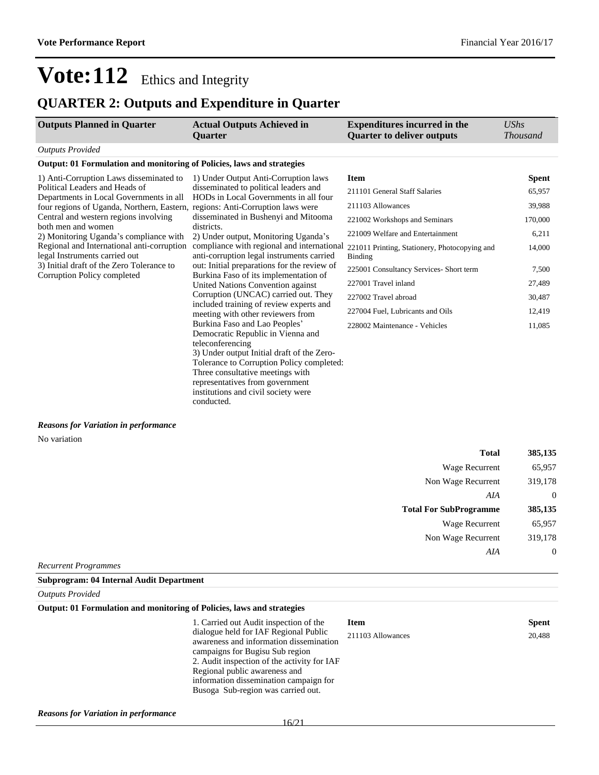## **QUARTER 2: Outputs and Expenditure in Quarter**

| <b>Outputs Planned in Quarter</b>                                                                                                                                                                                                                                                                                                                                                                                       | <b>Actual Outputs Achieved in</b><br><b>Ouarter</b>                                                                                                                                                                                                                                                           | <b>Expenditures incurred in the</b><br><b>Quarter to deliver outputs</b> | UShs<br><b>Thousand</b> |
|-------------------------------------------------------------------------------------------------------------------------------------------------------------------------------------------------------------------------------------------------------------------------------------------------------------------------------------------------------------------------------------------------------------------------|---------------------------------------------------------------------------------------------------------------------------------------------------------------------------------------------------------------------------------------------------------------------------------------------------------------|--------------------------------------------------------------------------|-------------------------|
| <b>Outputs Provided</b>                                                                                                                                                                                                                                                                                                                                                                                                 |                                                                                                                                                                                                                                                                                                               |                                                                          |                         |
| Output: 01 Formulation and monitoring of Policies, laws and strategies                                                                                                                                                                                                                                                                                                                                                  |                                                                                                                                                                                                                                                                                                               |                                                                          |                         |
| 1) Anti-Corruption Laws disseminated to                                                                                                                                                                                                                                                                                                                                                                                 | 1) Under Output Anti-Corruption laws                                                                                                                                                                                                                                                                          | <b>Item</b>                                                              | <b>Spent</b>            |
| Political Leaders and Heads of<br>Departments in Local Governments in all                                                                                                                                                                                                                                                                                                                                               | disseminated to political leaders and<br>HODs in Local Governments in all four                                                                                                                                                                                                                                | 211101 General Staff Salaries                                            | 65,957                  |
|                                                                                                                                                                                                                                                                                                                                                                                                                         |                                                                                                                                                                                                                                                                                                               | 211103 Allowances                                                        | 39,988                  |
| four regions of Uganda, Northern, Eastern, regions: Anti-Corruption laws were<br>Central and western regions involving<br>disseminated in Bushenyi and Mitooma                                                                                                                                                                                                                                                          |                                                                                                                                                                                                                                                                                                               | 221002 Workshops and Seminars                                            | 170,000                 |
| both men and women<br>2) Monitoring Uganda's compliance with                                                                                                                                                                                                                                                                                                                                                            | districts.<br>2) Under output, Monitoring Uganda's                                                                                                                                                                                                                                                            | 221009 Welfare and Entertainment                                         | 6,211                   |
| Regional and International anti-corruption<br>compliance with regional and international<br>legal Instruments carried out<br>anti-corruption legal instruments carried<br>3) Initial draft of the Zero Tolerance to<br>out: Initial preparations for the review of<br>Burkina Faso of its implementation of<br>Corruption Policy completed<br>United Nations Convention against<br>Corruption (UNCAC) carried out. They |                                                                                                                                                                                                                                                                                                               | 221011 Printing, Stationery, Photocopying and<br><b>Binding</b>          | 14,000                  |
|                                                                                                                                                                                                                                                                                                                                                                                                                         | 225001 Consultancy Services- Short term                                                                                                                                                                                                                                                                       | 7,500                                                                    |                         |
|                                                                                                                                                                                                                                                                                                                                                                                                                         | included training of review experts and<br>meeting with other reviewers from                                                                                                                                                                                                                                  | 227001 Travel inland                                                     | 27,489                  |
|                                                                                                                                                                                                                                                                                                                                                                                                                         |                                                                                                                                                                                                                                                                                                               | 227002 Travel abroad                                                     | 30,487                  |
|                                                                                                                                                                                                                                                                                                                                                                                                                         |                                                                                                                                                                                                                                                                                                               | 227004 Fuel, Lubricants and Oils                                         | 12,419                  |
|                                                                                                                                                                                                                                                                                                                                                                                                                         | Burkina Faso and Lao Peoples'<br>Democratic Republic in Vienna and<br>teleconferencing<br>3) Under output Initial draft of the Zero-<br>Tolerance to Corruption Policy completed:<br>Three consultative meetings with<br>representatives from government<br>institutions and civil society were<br>conducted. | 228002 Maintenance - Vehicles                                            | 11,085                  |

### *Reasons for Variation in performance*

No variation

| <b>Total</b>                  | 385,135        |
|-------------------------------|----------------|
| <b>Wage Recurrent</b>         | 65,957         |
| Non Wage Recurrent            | 319,178        |
| AIA                           | $\overline{0}$ |
| <b>Total For SubProgramme</b> | 385,135        |
| Wage Recurrent                | 65,957         |
| Non Wage Recurrent            | 319,178        |
| AIA                           | $\overline{0}$ |
| Recurrent Programmes          |                |

**Subprogram: 04 Internal Audit Department**

*Outputs Provided*

#### **Output: 01 Formulation and monitoring of Policies, laws and strategies**

1. Carried out Audit inspection of the dialogue held for IAF Regional Public awareness and information dissemination campaigns for Bugisu Sub region 2. Audit inspection of the activity for IAF Regional public awareness and information dissemination campaign for Busoga Sub-region was carried out.

| <b>Item</b>       | <b>Spent</b> |
|-------------------|--------------|
| 211103 Allowances | 20.488       |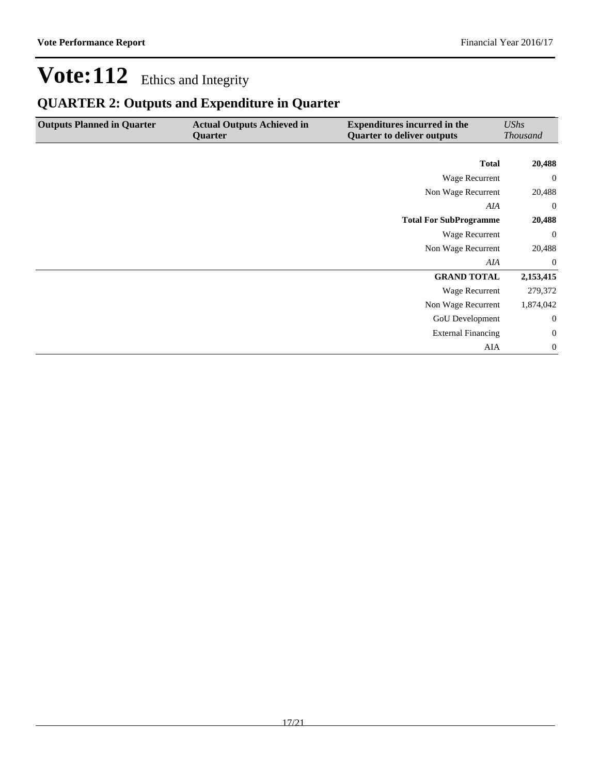## **QUARTER 2: Outputs and Expenditure in Quarter**

| <b>Outputs Planned in Quarter</b> | <b>Actual Outputs Achieved in</b><br>Quarter | <b>Expenditures incurred in the</b><br><b>Quarter to deliver outputs</b> | <b>UShs</b><br><b>Thousand</b> |
|-----------------------------------|----------------------------------------------|--------------------------------------------------------------------------|--------------------------------|
|                                   |                                              |                                                                          |                                |
|                                   |                                              | <b>Total</b>                                                             | 20,488                         |
|                                   |                                              | Wage Recurrent                                                           | $\overline{0}$                 |
|                                   |                                              | Non Wage Recurrent                                                       | 20,488                         |
|                                   |                                              | AIA                                                                      | $\mathbf{0}$                   |
|                                   |                                              | <b>Total For SubProgramme</b>                                            | 20,488                         |
|                                   |                                              | Wage Recurrent                                                           | $\overline{0}$                 |
|                                   |                                              | Non Wage Recurrent                                                       | 20,488                         |
|                                   |                                              | AIA                                                                      | $\overline{0}$                 |
|                                   |                                              | <b>GRAND TOTAL</b>                                                       | 2,153,415                      |
|                                   |                                              | Wage Recurrent                                                           | 279,372                        |
|                                   |                                              | Non Wage Recurrent                                                       | 1,874,042                      |
|                                   |                                              | GoU Development                                                          | $\boldsymbol{0}$               |
|                                   |                                              | <b>External Financing</b>                                                | $\mathbf{0}$                   |
|                                   |                                              | AIA                                                                      | $\mathbf{0}$                   |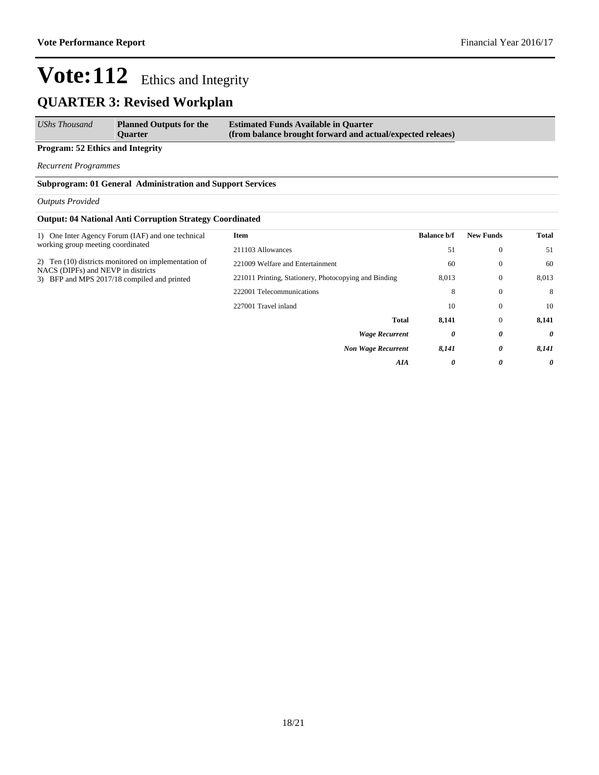## **QUARTER 3: Revised Workplan**

| <b>UShs Thousand</b> | <b>Planned Outputs for the</b> | <b>Estimated Funds Available in Quarter</b>                |
|----------------------|--------------------------------|------------------------------------------------------------|
|                      | <b>Ouarter</b>                 | (from balance brought forward and actual/expected releaes) |

**Program: 52 Ethics and Integrity**

*Recurrent Programmes*

**Subprogram: 01 General Administration and Support Services**

#### *Outputs Provided*

#### **Output: 04 National Anti Corruption Strategy Coordinated**

| 1) One Inter Agency Forum (IAF) and one technical<br>Item                                                                      | <b>Balance b/f</b> | <b>New Funds</b> | <b>Total</b> |
|--------------------------------------------------------------------------------------------------------------------------------|--------------------|------------------|--------------|
| working group meeting coordinated<br>211103 Allowances                                                                         | 51                 | $\mathbf{0}$     | 51           |
| 2) Ten (10) districts monitored on implementation of<br>221009 Welfare and Entertainment<br>NACS (DIPFs) and NEVP in districts | 60                 | $\theta$         | 60           |
| 221011 Printing, Stationery, Photocopying and Binding<br>3) BFP and MPS 2017/18 compiled and printed                           | 8,013              | $\mathbf{0}$     | 8,013        |
| 222001 Telecommunications                                                                                                      | 8                  | $\mathbf{0}$     | 8            |
| 227001 Travel inland                                                                                                           | 10                 | $\theta$         | 10           |
| <b>Total</b>                                                                                                                   | 8,141              | $\mathbf{0}$     | 8,141        |
| <b>Wage Recurrent</b>                                                                                                          | 0                  | 0                | 0            |
| <b>Non Wage Recurrent</b>                                                                                                      | 8,141              | 0                | 8,141        |
| AIA                                                                                                                            | 0                  | 0                | 0            |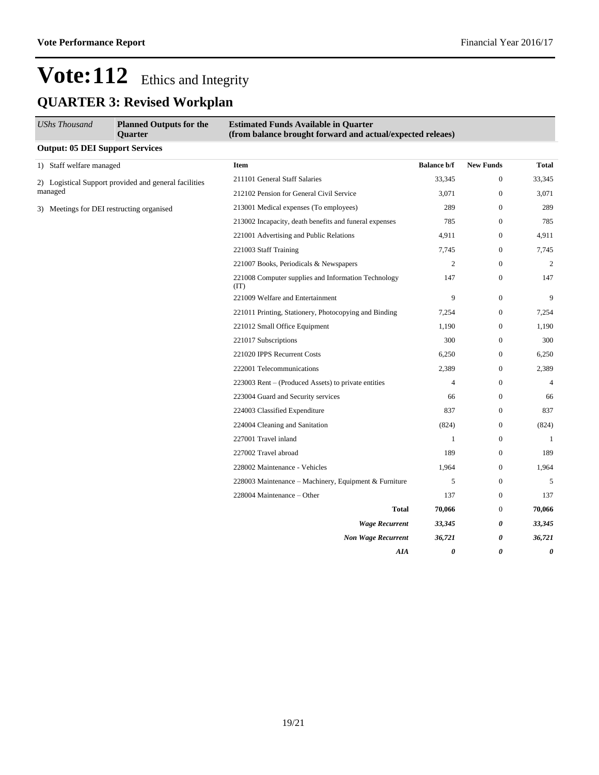# Vote: 112 Ethics and Integrity **QUARTER 3: Revised Workplan**

| <b>UShs Thousand</b>                   | <b>Planned Outputs for the</b><br><b>Ouarter</b>            | <b>Estimated Funds Available in Quarter</b><br>(from balance brought forward and actual/expected releaes) |                    |                  |                |
|----------------------------------------|-------------------------------------------------------------|-----------------------------------------------------------------------------------------------------------|--------------------|------------------|----------------|
| <b>Output: 05 DEI Support Services</b> |                                                             |                                                                                                           |                    |                  |                |
| 1) Staff welfare managed               |                                                             | <b>Item</b>                                                                                               | <b>Balance b/f</b> | <b>New Funds</b> | <b>Total</b>   |
|                                        | 2) Logistical Support provided and general facilities       | 211101 General Staff Salaries                                                                             | 33,345             | $\mathbf{0}$     | 33,345         |
| managed                                |                                                             | 212102 Pension for General Civil Service                                                                  | 3,071              | $\boldsymbol{0}$ | 3,071          |
|                                        | 3) Meetings for DEI restructing organised                   | 213001 Medical expenses (To employees)                                                                    | 289                | $\mathbf{0}$     | 289            |
|                                        |                                                             | 213002 Incapacity, death benefits and funeral expenses                                                    | 785                | $\boldsymbol{0}$ | 785            |
|                                        |                                                             | 221001 Advertising and Public Relations                                                                   | 4,911              | $\boldsymbol{0}$ | 4,911          |
|                                        |                                                             | 221003 Staff Training                                                                                     | 7,745              | $\mathbf{0}$     | 7,745          |
|                                        | 221007 Books, Periodicals & Newspapers                      | $\mathbf{2}$                                                                                              | $\mathbf{0}$       | $\mathbf{2}$     |                |
|                                        | 221008 Computer supplies and Information Technology<br>(IT) | 147                                                                                                       | $\mathbf{0}$       | 147              |                |
|                                        |                                                             | 221009 Welfare and Entertainment                                                                          | 9                  | $\mathbf{0}$     | 9              |
|                                        |                                                             | 221011 Printing, Stationery, Photocopying and Binding                                                     | 7,254              | $\mathbf{0}$     | 7,254          |
|                                        |                                                             | 221012 Small Office Equipment                                                                             | 1,190              | $\mathbf{0}$     | 1,190          |
|                                        |                                                             | 221017 Subscriptions                                                                                      | 300                | $\mathbf{0}$     | 300            |
|                                        |                                                             | 221020 IPPS Recurrent Costs                                                                               | 6,250              | $\mathbf{0}$     | 6,250          |
|                                        |                                                             | 222001 Telecommunications                                                                                 | 2,389              | $\overline{0}$   | 2,389          |
|                                        |                                                             | 223003 Rent - (Produced Assets) to private entities                                                       | $\overline{4}$     | $\mathbf{0}$     | $\overline{4}$ |
|                                        |                                                             | 223004 Guard and Security services                                                                        | 66                 | $\mathbf{0}$     | 66             |
|                                        |                                                             | 224003 Classified Expenditure                                                                             | 837                | $\mathbf{0}$     | 837            |
|                                        |                                                             | 224004 Cleaning and Sanitation                                                                            | (824)              | $\mathbf{0}$     | (824)          |
|                                        |                                                             | 227001 Travel inland                                                                                      | $\mathbf{1}$       | $\boldsymbol{0}$ | 1              |
|                                        |                                                             | 227002 Travel abroad                                                                                      | 189                | $\mathbf{0}$     | 189            |
|                                        |                                                             | 228002 Maintenance - Vehicles                                                                             | 1,964              | $\mathbf{0}$     | 1,964          |
|                                        |                                                             | 228003 Maintenance – Machinery, Equipment & Furniture                                                     | 5                  | $\mathbf{0}$     | 5              |
|                                        |                                                             | 228004 Maintenance - Other                                                                                | 137                | $\mathbf{0}$     | 137            |
|                                        |                                                             | <b>Total</b>                                                                                              | 70,066             | $\mathbf{0}$     | 70,066         |
|                                        |                                                             | <b>Wage Recurrent</b>                                                                                     | 33,345             | 0                | 33,345         |
|                                        |                                                             | <b>Non Wage Recurrent</b>                                                                                 | 36,721             | 0                | 36,721         |
|                                        |                                                             | AIA                                                                                                       | 0                  | 0                | 0              |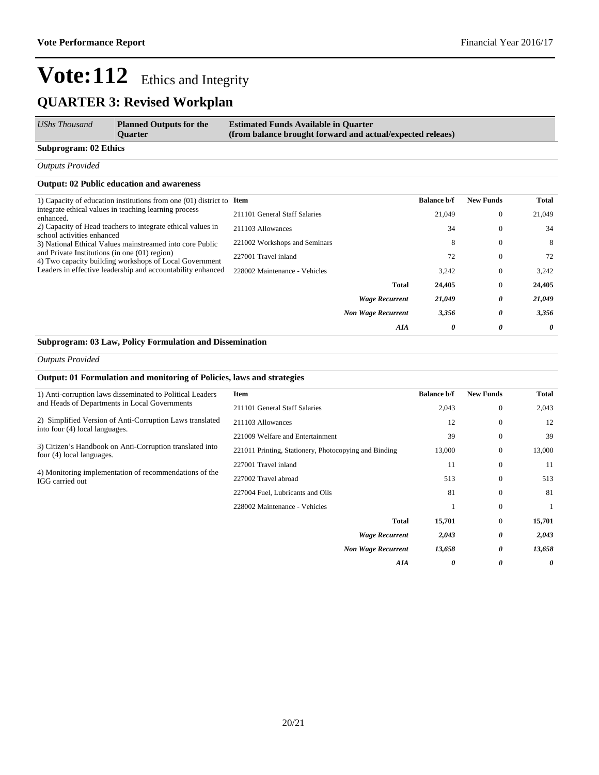## **QUARTER 3: Revised Workplan**

| UShs Thousand                | <b>Planned Outputs for the</b><br><b>Ouarter</b> | <b>Estimated Funds Available in Quarter</b><br>(from balance brought forward and actual/expected releaes) |
|------------------------------|--------------------------------------------------|-----------------------------------------------------------------------------------------------------------|
| <b>Subprogram: 02 Ethics</b> |                                                  |                                                                                                           |

*Outputs Provided*

#### **Output: 02 Public education and awareness**

| 1) Capacity of education institutions from one $(01)$ district to <b>Item</b>                             |                               |                           | <b>Balance b/f</b> | <b>New Funds</b> | Total  |
|-----------------------------------------------------------------------------------------------------------|-------------------------------|---------------------------|--------------------|------------------|--------|
| integrate ethical values in teaching learning process<br>enhanced.                                        | 211101 General Staff Salaries |                           | 21,049             | $\mathbf{0}$     | 21,049 |
| 2) Capacity of Head teachers to integrate ethical values in<br>school activities enhanced                 | 211103 Allowances             |                           | 34                 | $\mathbf{0}$     | 34     |
| 3) National Ethical Values mainstreamed into core Public                                                  | 221002 Workshops and Seminars |                           | 8                  | $\mathbf{0}$     | 8      |
| and Private Institutions (in one $(01)$ region)<br>4) Two capacity building workshops of Local Government | 227001 Travel inland          |                           | 72                 | $\mathbf{0}$     | 72     |
| Leaders in effective leadership and accountability enhanced                                               | 228002 Maintenance - Vehicles |                           | 3,242              | $\theta$         | 3,242  |
|                                                                                                           |                               | <b>Total</b>              | 24,405             | $\mathbf{0}$     | 24,405 |
|                                                                                                           |                               | <b>Wage Recurrent</b>     | 21,049             | 0                | 21,049 |
|                                                                                                           |                               | <b>Non Wage Recurrent</b> | 3,356              | 0                | 3,356  |
|                                                                                                           |                               | AIA                       | 0                  | 0                | 0      |

### **Subprogram: 03 Law, Policy Formulation and Dissemination**

#### *Outputs Provided*

#### **Output: 01 Formulation and monitoring of Policies, laws and strategies**

| 1) Anti-corruption laws disseminated to Political Leaders                                  | <b>Item</b>                                           | <b>Balance b/f</b> | <b>New Funds</b> | Total  |
|--------------------------------------------------------------------------------------------|-------------------------------------------------------|--------------------|------------------|--------|
| and Heads of Departments in Local Governments                                              | 211101 General Staff Salaries                         | 2,043              | $\theta$         | 2,043  |
| 2) Simplified Version of Anti-Corruption Laws translated<br>into four (4) local languages. | 211103 Allowances                                     | 12                 | $\mathbf{0}$     | 12     |
|                                                                                            | 221009 Welfare and Entertainment                      | 39                 | $\mathbf{0}$     | 39     |
| 3) Citizen's Handbook on Anti-Corruption translated into<br>four (4) local languages.      | 221011 Printing, Stationery, Photocopying and Binding | 13,000             | $\Omega$         | 13,000 |
|                                                                                            | 227001 Travel inland                                  | 11                 | $\mathbf{0}$     | 11     |
| 4) Monitoring implementation of recommendations of the<br>IGG carried out                  | 227002 Travel abroad                                  | 513                | $\theta$         | 513    |
|                                                                                            | 227004 Fuel, Lubricants and Oils                      | 81                 | $\theta$         | 81     |
|                                                                                            | 228002 Maintenance - Vehicles                         |                    | $\mathbf{0}$     | 1      |
|                                                                                            | Total                                                 | 15,701             | $\overline{0}$   | 15,701 |
|                                                                                            | <b>Wage Recurrent</b>                                 | 2,043              | 0                | 2,043  |
|                                                                                            | <b>Non Wage Recurrent</b>                             | 13,658             | 0                | 13,658 |
|                                                                                            | <b>AIA</b>                                            | 0                  | 0                | 0      |